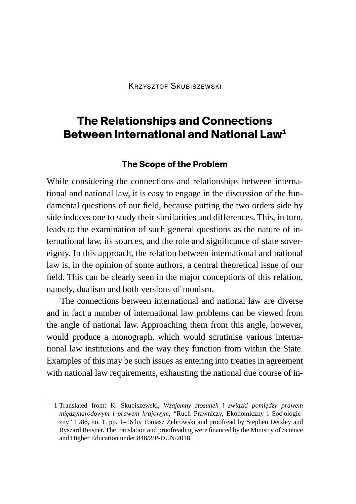# **The Relationships and Connections Between International and National Law1**

### **The Scope of the Problem**

While considering the connections and relationships between international and national law, it is easy to engage in the discussion of the fundamental questions of our field, because putting the two orders side by side induces one to study their similarities and differences. This, in turn, leads to the examination of such general questions as the nature of international law, its sources, and the role and significance of state sovereignty. In this approach, the relation between international and national law is, in the opinion of some authors, a central theoretical issue of our field. This can be clearly seen in the major conceptions of this relation, namely, dualism and both versions of monism.

The connections between international and national law are diverse and in fact a number of international law problems can be viewed from the angle of national law. Approaching them from this angle, however, would produce a monograph, which would scrutinise various international law institutions and the way they function from within the State. Examples of this may be such issues as entering into treaties in agreement with national law requirements, exhausting the national due course of in-

<sup>1</sup> Translated from: K. Skubiszewski, *Wzajemny stosunek i związki pomiędzy prawem międzynarodowym i prawem krajowym*, "Ruch Prawniczy, Ekonomiczny i Socjologiczny" 1986, no. 1, pp. 1–16 by Tomasz Żebrowski and proofread by Stephen Dersley and Ryszard Reisner. The translation and proofreading were financed by the Ministry of Science and Higher Education under 848/2/P-DUN/2018.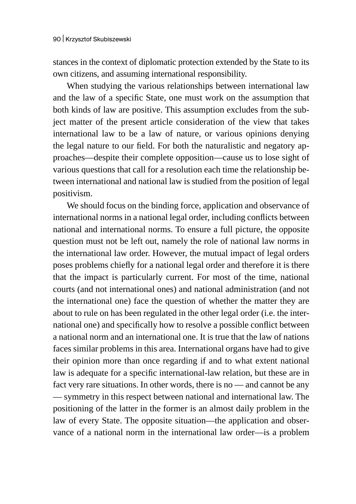stances in the context of diplomatic protection extended by the State to its own citizens, and assuming international responsibility.

When studying the various relationships between international law and the law of a specific State, one must work on the assumption that both kinds of law are positive. This assumption excludes from the subject matter of the present article consideration of the view that takes international law to be a law of nature, or various opinions denying the legal nature to our field. For both the naturalistic and negatory approaches—despite their complete opposition—cause us to lose sight of various questions that call for a resolution each time the relationship between international and national law is studied from the position of legal positivism.

We should focus on the binding force, application and observance of international norms in a national legal order, including conflicts between national and international norms. To ensure a full picture, the opposite question must not be left out, namely the role of national law norms in the international law order. However, the mutual impact of legal orders poses problems chiefly for a national legal order and therefore it is there that the impact is particularly current. For most of the time, national courts (and not international ones) and national administration (and not the international one) face the question of whether the matter they are about to rule on has been regulated in the other legal order (i.e. the international one) and specifically how to resolve a possible conflict between a national norm and an international one. It is true that the law of nations faces similar problems in this area. International organs have had to give their opinion more than once regarding if and to what extent national law is adequate for a specific international-law relation, but these are in fact very rare situations. In other words, there is no — and cannot be any — symmetry in this respect between national and international law. The positioning of the latter in the former is an almost daily problem in the law of every State. The opposite situation—the application and observance of a national norm in the international law order—is a problem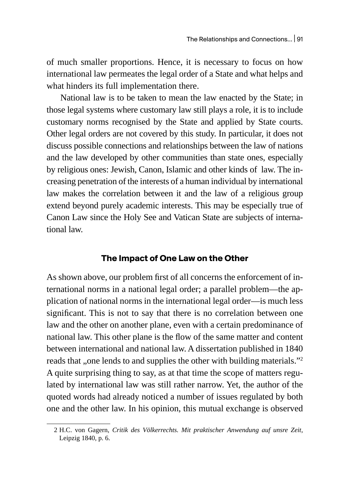of much smaller proportions. Hence, it is necessary to focus on how international law permeates the legal order of a State and what helps and what hinders its full implementation there.

National law is to be taken to mean the law enacted by the State; in those legal systems where customary law still plays a role, it is to include customary norms recognised by the State and applied by State courts. Other legal orders are not covered by this study. In particular, it does not discuss possible connections and relationships between the law of nations and the law developed by other communities than state ones, especially by religious ones: Jewish, Canon, Islamic and other kinds of law. The increasing penetration of the interests of a human individual by international law makes the correlation between it and the law of a religious group extend beyond purely academic interests. This may be especially true of Canon Law since the Holy See and Vatican State are subjects of international law.

#### **The Impact of One Law on the Other**

As shown above, our problem first of all concerns the enforcement of international norms in a national legal order; a parallel problem—the application of national norms in the international legal order—is much less significant. This is not to say that there is no correlation between one law and the other on another plane, even with a certain predominance of national law. This other plane is the flow of the same matter and content between international and national law. A dissertation published in 1840 reads that "one lends to and supplies the other with building materials."<sup>2</sup> A quite surprising thing to say, as at that time the scope of matters regulated by international law was still rather narrow. Yet, the author of the quoted words had already noticed a number of issues regulated by both one and the other law. In his opinion, this mutual exchange is observed

<sup>2</sup> H.C. von Gagern, *Critik des Völkerrechts. Mit praktischer Anwendung auf unsre Zeit*, Leipzig 1840, p. 6.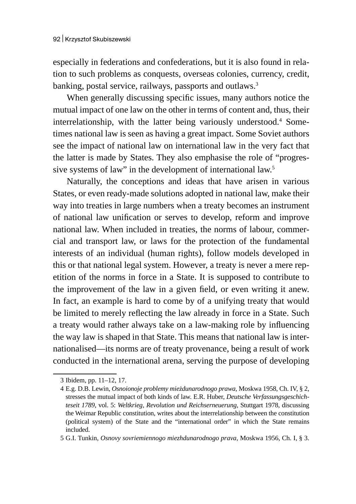especially in federations and confederations, but it is also found in relation to such problems as conquests, overseas colonies, currency, credit, banking, postal service, railways, passports and outlaws.<sup>3</sup>

When generally discussing specific issues, many authors notice the mutual impact of one law on the other in terms of content and, thus, their interrelationship, with the latter being variously understood.<sup>4</sup> Sometimes national law is seen as having a great impact. Some Soviet authors see the impact of national law on international law in the very fact that the latter is made by States. They also emphasise the role of "progressive systems of law" in the development of international law.<sup>5</sup>

Naturally, the conceptions and ideas that have arisen in various States, or even ready-made solutions adopted in national law, make their way into treaties in large numbers when a treaty becomes an instrument of national law unification or serves to develop, reform and improve national law. When included in treaties, the norms of labour, commercial and transport law, or laws for the protection of the fundamental interests of an individual (human rights), follow models developed in this or that national legal system. However, a treaty is never a mere repetition of the norms in force in a State. It is supposed to contribute to the improvement of the law in a given field, or even writing it anew. In fact, an example is hard to come by of a unifying treaty that would be limited to merely reflecting the law already in force in a State. Such a treaty would rather always take on a law-making role by influencing the way law is shaped in that State. This means that national law is internationalised—its norms are of treaty provenance, being a result of work conducted in the international arena, serving the purpose of developing

<sup>3</sup> Ibidem, pp. 11–12, 17.

<sup>4</sup> E.g. D.B. Lewin, *Osnoionoje problemy mieżdunarodnogo prawa*, Moskwa 1958, Ch. IV, § 2, stresses the mutual impact of both kinds of law. E.R. Huber, *Deutsche Verfassungsgeschichteseit 1789*, vol. 5: *Weltkrieg, Revolution und Reichserneuerung*, Stuttgart 1978, discussing the Weimar Republic constitution, writes about the interrelationship between the constitution (political system) of the State and the "international order" in which the State remains included.

<sup>5</sup> G.I. Tunkin, *Osnovy sovriemiennogo miezhdunarodnogo prava*, Moskwa 1956, Ch. I, § 3.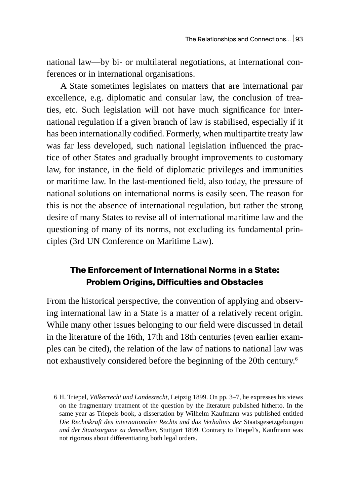national law—by bi- or multilateral negotiations, at international conferences or in international organisations.

A State sometimes legislates on matters that are international par excellence, e.g. diplomatic and consular law, the conclusion of treaties, etc. Such legislation will not have much significance for international regulation if a given branch of law is stabilised, especially if it has been internationally codified. Formerly, when multipartite treaty law was far less developed, such national legislation influenced the practice of other States and gradually brought improvements to customary law, for instance, in the field of diplomatic privileges and immunities or maritime law. In the last-mentioned field, also today, the pressure of national solutions on international norms is easily seen. The reason for this is not the absence of international regulation, but rather the strong desire of many States to revise all of international maritime law and the questioning of many of its norms, not excluding its fundamental principles (3rd UN Conference on Maritime Law).

# **The Enforcement of International Norms in a State: Problem Origins, Difficulties and Obstacles**

From the historical perspective, the convention of applying and observing international law in a State is a matter of a relatively recent origin. While many other issues belonging to our field were discussed in detail in the literature of the 16th, 17th and 18th centuries (even earlier examples can be cited), the relation of the law of nations to national law was not exhaustively considered before the beginning of the 20th century. $^6$ 

<sup>6</sup> H. Triepel, *Völkerrecht und Landesrecht*, Leipzig 1899. On pp. 3–7, he expresses his views on the fragmentary treatment of the question by the literature published hitherto. In the same year as Triepels book, a dissertation by Wilhelm Kaufmann was published entitled *Die Rechtskraft des internationalen Rechts und das Verhältnis der* Staatsgesetzgebungen *und der Staatsorgane zu demselben*, Stuttgart 1899. Contrary to Triepel's, Kaufmann was not rigorous about differentiating both legal orders.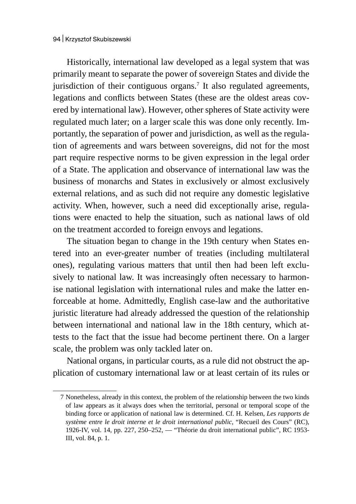Historically, international law developed as a legal system that was primarily meant to separate the power of sovereign States and divide the jurisdiction of their contiguous organs.<sup>7</sup> It also regulated agreements, legations and conflicts between States (these are the oldest areas covered by international law). However, other spheres of State activity were regulated much later; on a larger scale this was done only recently. Importantly, the separation of power and jurisdiction, as well as the regulation of agreements and wars between sovereigns, did not for the most part require respective norms to be given expression in the legal order of a State. The application and observance of international law was the business of monarchs and States in exclusively or almost exclusively external relations, and as such did not require any domestic legislative activity. When, however, such a need did exceptionally arise, regulations were enacted to help the situation, such as national laws of old on the treatment accorded to foreign envoys and legations.

The situation began to change in the 19th century when States entered into an ever-greater number of treaties (including multilateral ones), regulating various matters that until then had been left exclusively to national law. It was increasingly often necessary to harmonise national legislation with international rules and make the latter enforceable at home. Admittedly, English case-law and the authoritative juristic literature had already addressed the question of the relationship between international and national law in the 18th century, which attests to the fact that the issue had become pertinent there. On a larger scale, the problem was only tackled later on.

National organs, in particular courts, as a rule did not obstruct the application of customary international law or at least certain of its rules or

<sup>7</sup> Nonetheless, already in this context, the problem of the relationship between the two kinds of law appears as it always does when the territorial, personal or temporal scope of the binding force or application of national law is determined. Cf. H. Kelsen, *Les rapports de système entre le droit interne et le droit international public*, "Recueil des Cours" (RC), 1926-IV, vol. 14, pp. 227, 250–252, — "Théorie du droit international public", RC 1953- III, vol. 84, p. 1.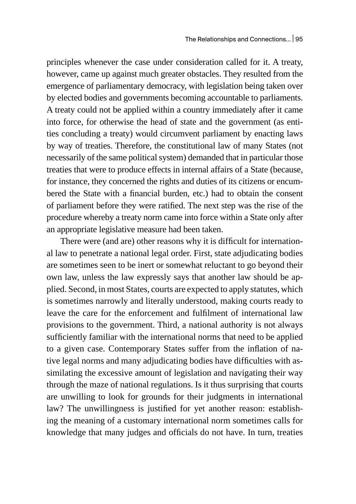principles whenever the case under consideration called for it. A treaty, however, came up against much greater obstacles. They resulted from the emergence of parliamentary democracy, with legislation being taken over by elected bodies and governments becoming accountable to parliaments. A treaty could not be applied within a country immediately after it came into force, for otherwise the head of state and the government (as entities concluding a treaty) would circumvent parliament by enacting laws by way of treaties. Therefore, the constitutional law of many States (not necessarily of the same political system) demanded that in particular those treaties that were to produce effects in internal affairs of a State (because, for instance, they concerned the rights and duties of its citizens or encumbered the State with a financial burden, etc.) had to obtain the consent of parliament before they were ratified. The next step was the rise of the procedure whereby a treaty norm came into force within a State only after an appropriate legislative measure had been taken.

There were (and are) other reasons why it is difficult for international law to penetrate a national legal order. First, state adjudicating bodies are sometimes seen to be inert or somewhat reluctant to go beyond their own law, unless the law expressly says that another law should be applied. Second, in most States, courts are expected to apply statutes, which is sometimes narrowly and literally understood, making courts ready to leave the care for the enforcement and fulfilment of international law provisions to the government. Third, a national authority is not always sufficiently familiar with the international norms that need to be applied to a given case. Contemporary States suffer from the inflation of native legal norms and many adjudicating bodies have difficulties with assimilating the excessive amount of legislation and navigating their way through the maze of national regulations. Is it thus surprising that courts are unwilling to look for grounds for their judgments in international law? The unwillingness is justified for yet another reason: establishing the meaning of a customary international norm sometimes calls for knowledge that many judges and officials do not have. In turn, treaties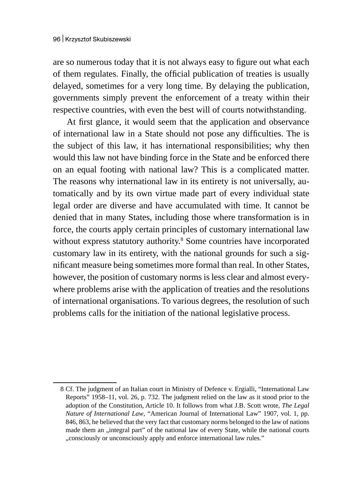are so numerous today that it is not always easy to figure out what each of them regulates. Finally, the official publication of treaties is usually delayed, sometimes for a very long time. By delaying the publication, governments simply prevent the enforcement of a treaty within their respective countries, with even the best will of courts notwithstanding.

At first glance, it would seem that the application and observance of international law in a State should not pose any difficulties. The is the subject of this law, it has international responsibilities; why then would this law not have binding force in the State and be enforced there on an equal footing with national law? This is a complicated matter. The reasons why international law in its entirety is not universally, automatically and by its own virtue made part of every individual state legal order are diverse and have accumulated with time. It cannot be denied that in many States, including those where transformation is in force, the courts apply certain principles of customary international law without express statutory authority.<sup>8</sup> Some countries have incorporated customary law in its entirety, with the national grounds for such a significant measure being sometimes more formal than real. In other States, however, the position of customary norms is less clear and almost everywhere problems arise with the application of treaties and the resolutions of international organisations. To various degrees, the resolution of such problems calls for the initiation of the national legislative process.

<sup>8</sup> Cf. The judgment of an Italian court in Ministry of Defence v. Ergialli, "International Law Reports" 1958–11, vol. 26, p. 732. The judgment relied on the law as it stood prior to the adoption of the Constitution, Article 10. It follows from what J.B. Scott wrote, *The Legal Nature of International Law*, "American Journal of International Law" 1907, vol. 1, pp. 846, 863, he believed that the very fact that customary norms belonged to the law of nations made them an "integral part" of the national law of every State, while the national courts "consciously or unconsciously apply and enforce international law rules."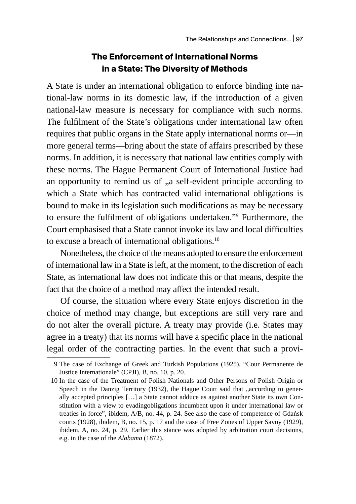## **The Enforcement of International Norms in a State: The Diversity of Methods**

A State is under an international obligation to enforce binding inte national-law norms in its domestic law, if the introduction of a given national-law measure is necessary for compliance with such norms. The fulfilment of the State's obligations under international law often requires that public organs in the State apply international norms or—in more general terms—bring about the state of affairs prescribed by these norms. In addition, it is necessary that national law entities comply with these norms. The Hague Permanent Court of International Justice had an opportunity to remind us of "a self-evident principle according to which a State which has contracted valid international obligations is bound to make in its legislation such modifications as may be necessary to ensure the fulfilment of obligations undertaken."<sup>9</sup> Furthermore, the Court emphasised that a State cannot invoke its law and local difficulties to excuse a breach of international obligations.<sup>10</sup>

Nonetheless, the choice of the means adopted to ensure the enforcement of international law in a State is left, at the moment, to the discretion of each State, as international law does not indicate this or that means, despite the fact that the choice of a method may affect the intended result.

Of course, the situation where every State enjoys discretion in the choice of method may change, but exceptions are still very rare and do not alter the overall picture. A treaty may provide (i.e. States may agree in a treaty) that its norms will have a specific place in the national legal order of the contracting parties. In the event that such a provi-

<sup>9</sup> The case of Exchange of Greek and Turkish Populations (1925), "Cour Permanente de Justice Internationale" (CPJI), B, no. 10, p. 20.

<sup>10</sup> In the case of the Treatment of Polish Nationals and Other Persons of Polish Origin or Speech in the Danzig Territory (1932), the Hague Court said that "according to generally accepted principles […] a State cannot adduce as against another State its own Constitution with a view to evadingobligations incumbent upon it under international law or treaties in force", ibidem, A/B, no. 44, p. 24. See also the case of competence of Gdańsk courts (1928), ibidem, B, no. 15, p. 17 and the case of Free Zones of Upper Savoy (1929), ibidem, A, no. 24, p. 29. Earlier this stance was adopted by arbitration court decisions, e.g. in the case of the *Alabama* (1872).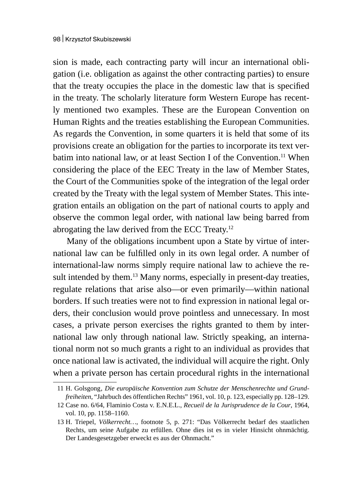sion is made, each contracting party will incur an international obligation (i.e. obligation as against the other contracting parties) to ensure that the treaty occupies the place in the domestic law that is specified in the treaty. The scholarly literature form Western Europe has recently mentioned two examples. These are the European Convention on Human Rights and the treaties establishing the European Communities. As regards the Convention, in some quarters it is held that some of its provisions create an obligation for the parties to incorporate its text verbatim into national law, or at least Section I of the Convention.<sup>11</sup> When considering the place of the EEC Treaty in the law of Member States, the Court of the Communities spoke of the integration of the legal order created by the Treaty with the legal system of Member States. This integration entails an obligation on the part of national courts to apply and observe the common legal order, with national law being barred from abrogating the law derived from the ECC Treaty.<sup>12</sup>

Many of the obligations incumbent upon a State by virtue of international law can be fulfilled only in its own legal order. A number of international-law norms simply require national law to achieve the result intended by them.<sup>13</sup> Many norms, especially in present-day treaties, regulate relations that arise also—or even primarily—within national borders. If such treaties were not to find expression in national legal orders, their conclusion would prove pointless and unnecessary. In most cases, a private person exercises the rights granted to them by international law only through national law. Strictly speaking, an international norm not so much grants a right to an individual as provides that once national law is activated, the individual will acquire the right. Only when a private person has certain procedural rights in the international

<sup>11</sup> H. Golsgong' *Die europäische Konvention zum Schutze der Menschenrechte und Grundfreiheiten*, "Jahrbuch des öffentlichen Rechts" 1961, vol. 10, p. 123, especially pp. 128–129.

<sup>12</sup> Case no. 6/64, Flaminio Costa v. E.N.E.L., *Recueil de la Jurisprudence de la Cour*, 1964, vol. 10, pp. 1158–1160.

<sup>13</sup> H. Triepel, *Völkerrecht…*, footnote 5, p. 271: "Das Völkerrecht bedarf des staatlichen Rechts, um seine Aufgabe zu erfüllen. Ohne dies ist es in vieler Hinsicht ohnmächtig. Der Landesgesetzgeber erweckt es aus der Ohnmacht."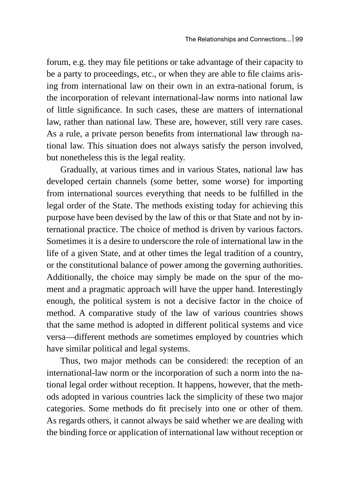forum, e.g. they may file petitions or take advantage of their capacity to be a party to proceedings, etc., or when they are able to file claims arising from international law on their own in an extra-national forum, is the incorporation of relevant international-law norms into national law of little significance. In such cases, these are matters of international law, rather than national law. These are, however, still very rare cases. As a rule, a private person benefits from international law through national law. This situation does not always satisfy the person involved, but nonetheless this is the legal reality.

Gradually, at various times and in various States, national law has developed certain channels (some better, some worse) for importing from international sources everything that needs to be fulfilled in the legal order of the State. The methods existing today for achieving this purpose have been devised by the law of this or that State and not by international practice. The choice of method is driven by various factors. Sometimes it is a desire to underscore the role of international law in the life of a given State, and at other times the legal tradition of a country, or the constitutional balance of power among the governing authorities. Additionally, the choice may simply be made on the spur of the moment and a pragmatic approach will have the upper hand. Interestingly enough, the political system is not a decisive factor in the choice of method. A comparative study of the law of various countries shows that the same method is adopted in different political systems and vice versa—different methods are sometimes employed by countries which have similar political and legal systems.

Thus, two major methods can be considered: the reception of an international-law norm or the incorporation of such a norm into the national legal order without reception. It happens, however, that the methods adopted in various countries lack the simplicity of these two major categories. Some methods do fit precisely into one or other of them. As regards others, it cannot always be said whether we are dealing with the binding force or application of international law without reception or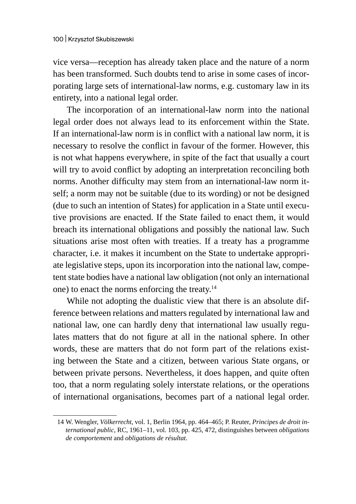vice versa—reception has already taken place and the nature of a norm has been transformed. Such doubts tend to arise in some cases of incorporating large sets of international-law norms, e.g. customary law in its entirety, into a national legal order.

The incorporation of an international-law norm into the national legal order does not always lead to its enforcement within the State. If an international-law norm is in conflict with a national law norm, it is necessary to resolve the conflict in favour of the former. However, this is not what happens everywhere, in spite of the fact that usually a court will try to avoid conflict by adopting an interpretation reconciling both norms. Another difficulty may stem from an international-law norm itself; a norm may not be suitable (due to its wording) or not be designed (due to such an intention of States) for application in a State until executive provisions are enacted. If the State failed to enact them, it would breach its international obligations and possibly the national law. Such situations arise most often with treaties. If a treaty has a programme character, i.e. it makes it incumbent on the State to undertake appropriate legislative steps, upon its incorporation into the national law, competent state bodies have a national law obligation (not only an international one) to enact the norms enforcing the treaty.14

While not adopting the dualistic view that there is an absolute difference between relations and matters regulated by international law and national law, one can hardly deny that international law usually regulates matters that do not figure at all in the national sphere. In other words, these are matters that do not form part of the relations existing between the State and a citizen, between various State organs, or between private persons. Nevertheless, it does happen, and quite often too, that a norm regulating solely interstate relations, or the operations of international organisations, becomes part of a national legal order.

<sup>14</sup> W. Wengler, *Völkerrecht*, vol. 1, Berlin 1964, pp. 464–465; P. Reuter, *Principes de droit international public*, RC, 1961–11, vol. 103, pp. 425, 472, distinguishes between *obligations de comportement* and *obligations de résultat*.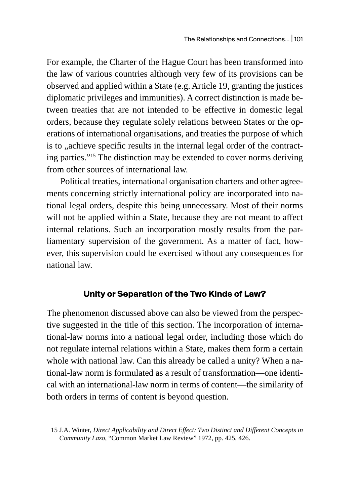For example, the Charter of the Hague Court has been transformed into the law of various countries although very few of its provisions can be observed and applied within a State (e.g. Article 19, granting the justices diplomatic privileges and immunities). A correct distinction is made between treaties that are not intended to be effective in domestic legal orders, because they regulate solely relations between States or the operations of international organisations, and treaties the purpose of which is to , achieve specific results in the internal legal order of the contracting parties."15 The distinction may be extended to cover norms deriving from other sources of international law.

Political treaties, international organisation charters and other agreements concerning strictly international policy are incorporated into national legal orders, despite this being unnecessary. Most of their norms will not be applied within a State, because they are not meant to affect internal relations. Such an incorporation mostly results from the parliamentary supervision of the government. As a matter of fact, however, this supervision could be exercised without any consequences for national law.

## **Unity or Separation of the Two Kinds of Law?**

The phenomenon discussed above can also be viewed from the perspective suggested in the title of this section. The incorporation of international-law norms into a national legal order, including those which do not regulate internal relations within a State, makes them form a certain whole with national law. Can this already be called a unity? When a national-law norm is formulated as a result of transformation—one identical with an international-law norm in terms of content—the similarity of both orders in terms of content is beyond question.

<sup>15</sup> J.A. Winter, *Direct Applicability and Direct Effect: Two Distinct and Different Concepts in Community Lazo*, "Common Market Law Review" 1972, pp. 425, 426.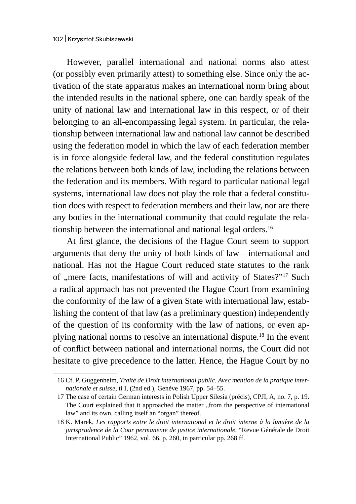However, parallel international and national norms also attest (or possibly even primarily attest) to something else. Since only the activation of the state apparatus makes an international norm bring about the intended results in the national sphere, one can hardly speak of the unity of national law and international law in this respect, or of their belonging to an all-encompassing legal system. In particular, the relationship between international law and national law cannot be described using the federation model in which the law of each federation member is in force alongside federal law, and the federal constitution regulates the relations between both kinds of law, including the relations between the federation and its members. With regard to particular national legal systems, international law does not play the role that a federal constitution does with respect to federation members and their law, nor are there any bodies in the international community that could regulate the relationship between the international and national legal orders.<sup>16</sup>

At first glance, the decisions of the Hague Court seem to support arguments that deny the unity of both kinds of law—international and national. Has not the Hague Court reduced state statutes to the rank of "mere facts, manifestations of will and activity of States?"<sup>17</sup> Such a radical approach has not prevented the Hague Court from examining the conformity of the law of a given State with international law, establishing the content of that law (as a preliminary question) independently of the question of its conformity with the law of nations, or even applying national norms to resolve an international dispute.<sup>18</sup> In the event of conflict between national and international norms, the Court did not hesitate to give precedence to the latter. Hence, the Hague Court by no

<sup>16</sup> Cf. P. Guggenheim, *Traité de Droit international public. Avec mention de la pratique internationale et suisse*, ti I, (2nd ed.), Genève 1967, pp. 54–55.

<sup>17</sup> The case of certain German interests in Polish Upper Silesia (précis), CPJI, A, no. 7, p. 19. The Court explained that it approached the matter "from the perspective of international law" and its own, calling itself an "organ" thereof.

<sup>18</sup> K. Marek, *Les rapports entre le droit international et le droit interne à la lumière de la jurisprudence de la Cour permanente de justice internationale*, "Revue Générale de Droit International Public" 1962, vol. 66, p. 260, in particular pp. 268 ff.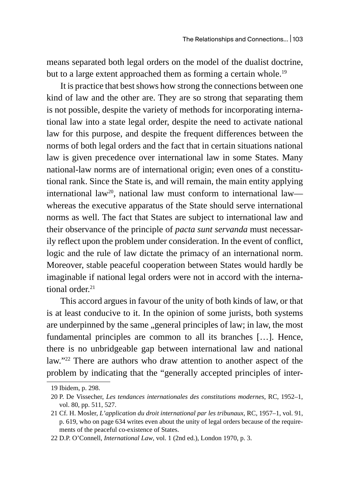means separated both legal orders on the model of the dualist doctrine, but to a large extent approached them as forming a certain whole.<sup>19</sup>

It is practice that best shows how strong the connections between one kind of law and the other are. They are so strong that separating them is not possible, despite the variety of methods for incorporating international law into a state legal order, despite the need to activate national law for this purpose, and despite the frequent differences between the norms of both legal orders and the fact that in certain situations national law is given precedence over international law in some States. Many national-law norms are of international origin; even ones of a constitutional rank. Since the State is, and will remain, the main entity applying international law<sup>20</sup>, national law must conform to international law whereas the executive apparatus of the State should serve international norms as well. The fact that States are subject to international law and their observance of the principle of *pacta sunt servanda* must necessarily reflect upon the problem under consideration. In the event of conflict, logic and the rule of law dictate the primacy of an international norm. Moreover, stable peaceful cooperation between States would hardly be imaginable if national legal orders were not in accord with the international order. $21$ 

This accord argues in favour of the unity of both kinds of law, or that is at least conducive to it. In the opinion of some jurists, both systems are underpinned by the same "general principles of law; in law, the most fundamental principles are common to all its branches […]. Hence, there is no unbridgeable gap between international law and national law."<sup>22</sup> There are authors who draw attention to another aspect of the problem by indicating that the "generally accepted principles of inter-

<sup>19</sup> Ibidem, p. 298.

<sup>20</sup> P. De Vissecher, *Les tendances internationales des constitutions modernes*, RC, 1952–1, vol. 80, pp. 511, 527.

<sup>21</sup> Cf. H. Mosler, *L'application du droit international par les tribunaux*, RC, 1957–1, vol. 91, p. 619, who on page 634 writes even about the unity of legal orders because of the requirements of the peaceful co-existence of States.

<sup>22</sup> D.P. O'Connell, *International Law*, vol. 1 (2nd ed.), London 1970, p. 3.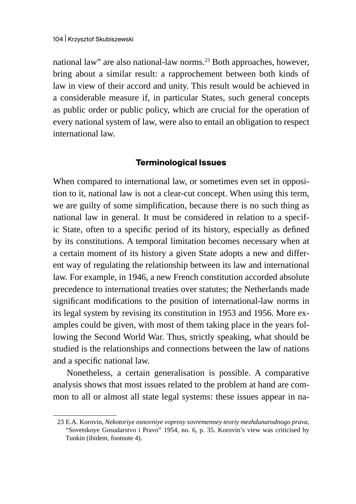national law" are also national-law norms.<sup>23</sup> Both approaches, however, bring about a similar result: a rapprochement between both kinds of law in view of their accord and unity. This result would be achieved in a considerable measure if, in particular States, such general concepts as public order or public policy, which are crucial for the operation of every national system of law, were also to entail an obligation to respect international law.

### **Terminological Issues**

When compared to international law, or sometimes even set in opposition to it, national law is not a clear-cut concept. When using this term, we are guilty of some simplification, because there is no such thing as national law in general. It must be considered in relation to a specific State, often to a specific period of its history, especially as defined by its constitutions. A temporal limitation becomes necessary when at a certain moment of its history a given State adopts a new and different way of regulating the relationship between its law and international law. For example, in 1946, a new French constitution accorded absolute precedence to international treaties over statutes; the Netherlands made significant modifications to the position of international-law norms in its legal system by revising its constitution in 1953 and 1956. More examples could be given, with most of them taking place in the years following the Second World War. Thus, strictly speaking, what should be studied is the relationships and connections between the law of nations and a specific national law.

Nonetheless, a certain generalisation is possible. A comparative analysis shows that most issues related to the problem at hand are common to all or almost all state legal systems: these issues appear in na-

<sup>23</sup> E.A. Korovin, *Nekotoriye osnovniye voprosy sovremenney teoriy mezhdunarodnogo prava*, "Sovetskoye Gosudarstvo i Pravo" 1954, no. 6, p. 35. Korovin's view was criticised by Tunkin (ibidem, footnote 4).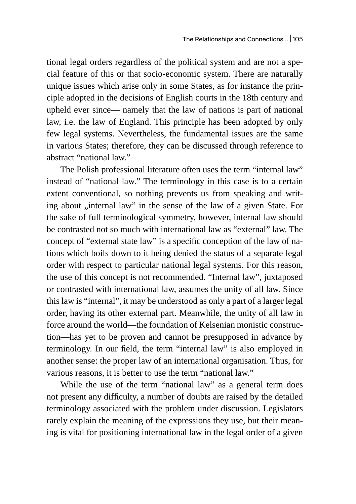tional legal orders regardless of the political system and are not a special feature of this or that socio-economic system. There are naturally unique issues which arise only in some States, as for instance the principle adopted in the decisions of English courts in the 18th century and upheld ever since— namely that the law of nations is part of national law, i.e. the law of England. This principle has been adopted by only few legal systems. Nevertheless, the fundamental issues are the same in various States; therefore, they can be discussed through reference to abstract "national law."

The Polish professional literature often uses the term "internal law" instead of "national law." The terminology in this case is to a certain extent conventional, so nothing prevents us from speaking and writing about "internal law" in the sense of the law of a given State. For the sake of full terminological symmetry, however, internal law should be contrasted not so much with international law as "external" law. The concept of "external state law" is a specific conception of the law of nations which boils down to it being denied the status of a separate legal order with respect to particular national legal systems. For this reason, the use of this concept is not recommended. "Internal law", juxtaposed or contrasted with international law, assumes the unity of all law. Since this law is "internal", it may be understood as only a part of a larger legal order, having its other external part. Meanwhile, the unity of all law in force around the world—the foundation of Kelsenian monistic construction—has yet to be proven and cannot be presupposed in advance by terminology. In our field, the term "internal law" is also employed in another sense: the proper law of an international organisation. Thus, for various reasons, it is better to use the term "national law."

While the use of the term "national law" as a general term does not present any difficulty, a number of doubts are raised by the detailed terminology associated with the problem under discussion. Legislators rarely explain the meaning of the expressions they use, but their meaning is vital for positioning international law in the legal order of a given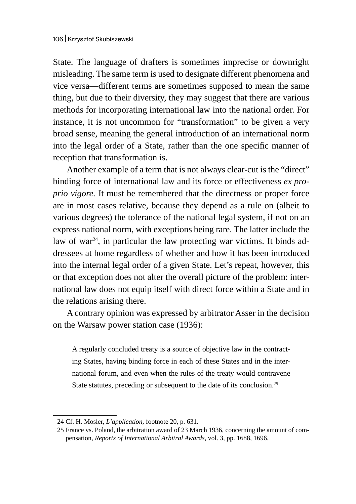State. The language of drafters is sometimes imprecise or downright misleading. The same term is used to designate different phenomena and vice versa—different terms are sometimes supposed to mean the same thing, but due to their diversity, they may suggest that there are various methods for incorporating international law into the national order. For instance, it is not uncommon for "transformation" to be given a very broad sense, meaning the general introduction of an international norm into the legal order of a State, rather than the one specific manner of reception that transformation is.

Another example of a term that is not always clear-cut is the "direct" binding force of international law and its force or effectiveness *ex proprio vigore.* It must be remembered that the directness or proper force are in most cases relative, because they depend as a rule on (albeit to various degrees) the tolerance of the national legal system, if not on an express national norm, with exceptions being rare. The latter include the law of war $24$ , in particular the law protecting war victims. It binds addressees at home regardless of whether and how it has been introduced into the internal legal order of a given State. Let's repeat, however, this or that exception does not alter the overall picture of the problem: international law does not equip itself with direct force within a State and in the relations arising there.

A contrary opinion was expressed by arbitrator Asser in the decision on the Warsaw power station case (1936):

A regularly concluded treaty is a source of objective law in the contracting States, having binding force in each of these States and in the international forum, and even when the rules of the treaty would contravene State statutes, preceding or subsequent to the date of its conclusion.<sup>25</sup>

<sup>24</sup> Cf. H. Mosler, *L'application*, footnote 20, p. 631.

<sup>25</sup> France vs. Poland, the arbitration award of 23 March 1936, concerning the amount of compensation, *Reports of International Arbitral Awards*, vol. 3, pp. 1688, 1696.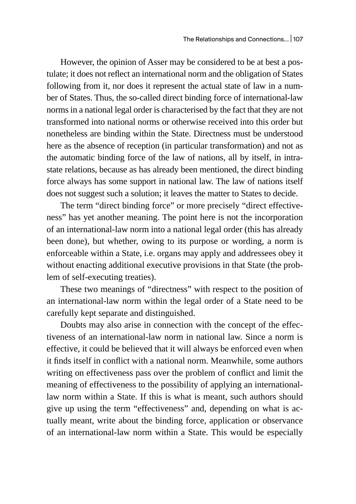However, the opinion of Asser may be considered to be at best a postulate; it does not reflect an international norm and the obligation of States following from it, nor does it represent the actual state of law in a number of States. Thus, the so-called direct binding force of international-law norms in a national legal order is characterised by the fact that they are not transformed into national norms or otherwise received into this order but nonetheless are binding within the State. Directness must be understood here as the absence of reception (in particular transformation) and not as the automatic binding force of the law of nations, all by itself, in intrastate relations, because as has already been mentioned, the direct binding force always has some support in national law. The law of nations itself does not suggest such a solution; it leaves the matter to States to decide.

The term "direct binding force" or more precisely "direct effectiveness" has yet another meaning. The point here is not the incorporation of an international-law norm into a national legal order (this has already been done), but whether, owing to its purpose or wording, a norm is enforceable within a State, i.e. organs may apply and addressees obey it without enacting additional executive provisions in that State (the problem of self-executing treaties).

These two meanings of "directness" with respect to the position of an international-law norm within the legal order of a State need to be carefully kept separate and distinguished.

Doubts may also arise in connection with the concept of the effectiveness of an international-law norm in national law. Since a norm is effective, it could be believed that it will always be enforced even when it finds itself in conflict with a national norm. Meanwhile, some authors writing on effectiveness pass over the problem of conflict and limit the meaning of effectiveness to the possibility of applying an internationallaw norm within a State. If this is what is meant, such authors should give up using the term "effectiveness" and, depending on what is actually meant, write about the binding force, application or observance of an international-law norm within a State. This would be especially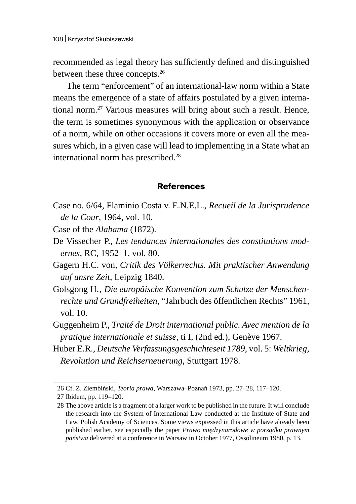recommended as legal theory has sufficiently defined and distinguished between these three concepts.<sup>26</sup>

The term "enforcement" of an international-law norm within a State means the emergence of a state of affairs postulated by a given international norm.27 Various measures will bring about such a result. Hence, the term is sometimes synonymous with the application or observance of a norm, while on other occasions it covers more or even all the measures which, in a given case will lead to implementing in a State what an international norm has prescribed.<sup>28</sup>

#### **References**

- Case no. 6/64, Flaminio Costa v. E.N.E.L., *Recueil de la Jurisprudence de la Cour*, 1964, vol. 10.
- Case of the *Alabama* (1872).
- De Vissecher P., *Les tendances internationales des constitutions modernes*, RC, 1952–1, vol. 80.
- Gagern H.C. von, *Critik des Völkerrechts. Mit praktischer Anwendung auf unsre Zeit*, Leipzig 1840.
- Golsgong H.' *Die europäische Konvention zum Schutze der Menschenrechte und Grundfreiheiten*, "Jahrbuch des öffentlichen Rechts" 1961, vol. 10.
- Guggenheim P., *Traité de Droit international public. Avec mention de la pratique internationale et suisse*, ti I, (2nd ed.), Genève 1967.
- Huber E.R., *Deutsche Verfassungsgeschichteseit 1789*, vol. 5: *Weltkrieg, Revolution und Reichserneuerung*, Stuttgart 1978.

<sup>26</sup> Cf. Z. Ziembiński, *Teoria prawa*, Warszawa–Poznań 1973, pp. 27–28, 117–120.

<sup>27</sup> Ibidem, pp. 119–120.

<sup>28</sup> The above article is a fragment of a larger work to be published in the future. It will conclude the research into the System of International Law conducted at the Institute of State and Law, Polish Academy of Sciences. Some views expressed in this article have already been published earlier, see especially the paper *Prawo międzynarodowe w porządku prawnym państwa* delivered at a conference in Warsaw in October 1977, Ossolineum 1980, p. 13.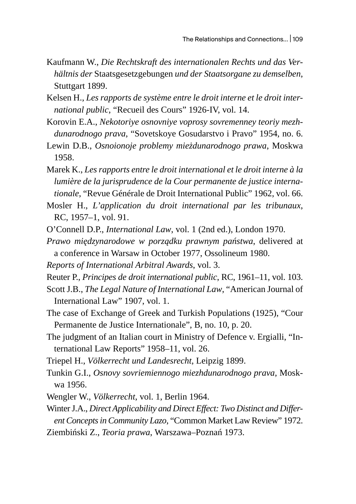- Kaufmann W., *Die Rechtskraft des internationalen Rechts und das Verhältnis der* Staatsgesetzgebungen *und der Staatsorgane zu demselben*, Stuttgart 1899.
- Kelsen H., *Les rapports de système entre le droit interne et le droit international public*, "Recueil des Cours" 1926-IV, vol. 14.
- Korovin E.A., *Nekotoriye osnovniye voprosy sovremenney teoriy mezhdunarodnogo prava*, "Sovetskoye Gosudarstvo i Pravo" 1954, no. 6.
- Lewin D.B., *Osnoionoje problemy mieżdunarodnogo prawa*, Moskwa 1958.
- Marek K., *Les rapports entre le droit international et le droit interne à la lumière de la jurisprudence de la Cour permanente de justice internationale*, "Revue Générale de Droit International Public" 1962, vol. 66.
- Mosler H., *L'application du droit international par les tribunaux*, RC, 1957–1, vol. 91.
- O'Connell D.P., *International Law*, vol. 1 (2nd ed.), London 1970.
- *Prawo międzynarodowe w porządku prawnym państwa*, delivered at a conference in Warsaw in October 1977, Ossolineum 1980.
- *Reports of International Arbitral Awards*, vol. 3.
- Reuter P., *Principes de droit international public*, RC, 1961–11, vol. 103.
- Scott J.B., *The Legal Nature of International Law*, "American Journal of International Law" 1907, vol. 1.
- The case of Exchange of Greek and Turkish Populations (1925), "Cour Permanente de Justice Internationale", B, no. 10, p. 20.
- The judgment of an Italian court in Ministry of Defence v. Ergialli, "International Law Reports" 1958–11, vol. 26.
- Triepel H., *Völkerrecht und Landesrecht*, Leipzig 1899.
- Tunkin G.I., *Osnovy sovriemiennogo miezhdunarodnogo prava*, Moskwa 1956.
- Wengler W., *Völkerrecht*, vol. 1, Berlin 1964.
- Winter J.A., *Direct Applicability and Direct Effect: Two Distinct and Different Concepts in Community Lazo*, "Common Market Law Review" 1972.
- Ziembiński Z., *Teoria prawa*, Warszawa–Poznań 1973.